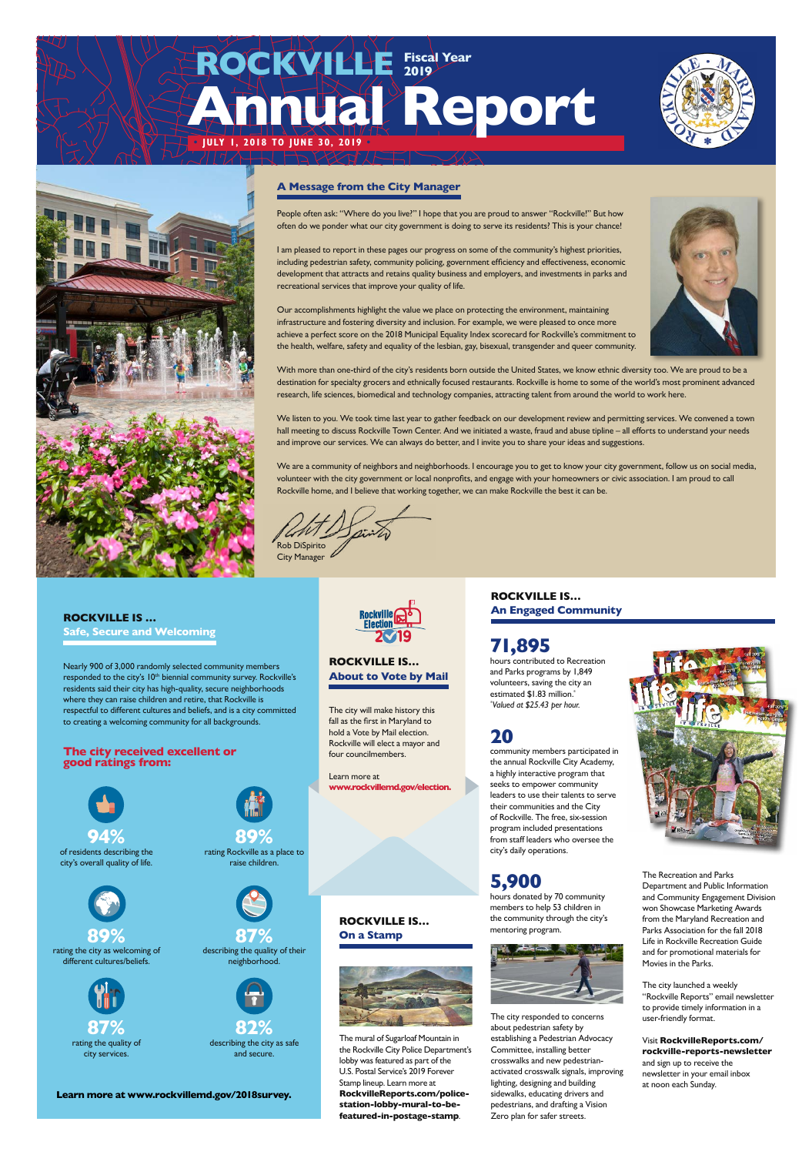#### **ROCKVILLE IS …**

**Safe, Secure and Welcoming**

Nearly 900 of 3,000 randomly selected community members responded to the city's 10<sup>th</sup> biennial community survey. Rockville's residents said their city has high-quality, secure neighborhoods where they can raise children and retire, that Rockville is respectful to different cultures and beliefs, and is a city committed to creating a welcoming community for all backgrounds.

#### **The city received excellent or good ratings from:**

**Learn more at www.rockvillemd.gov/2018survey.**

**ROCKVILLE IS… About to Vote by Mail**

The city will make history this fall as the first in Maryland to hold a Vote by Mail election. Rockville will elect a mayor and four councilmembers.

Learn more at **www.rockvillemd.gov/election.**

## **71,895**

hours contributed to Recreation and Parks programs by 1,849 volunteers, saving the city an estimated \$1.83 million.\* *\* Valued at \$25.43 per hour.*

## **20**

community members participated in the annual Rockville City Academy, a highly interactive program that seeks to empower community leaders to use their talents to serve their communities and the City of Rockville. The free, six-session program included presentations from staff leaders who oversee the city's daily operations.



members to help 53 children in the community through the city's mentoring program.



**87%**<br> **describing the quality of their** neighborhood.

The Recreation and Parks Department and Public Information and Community Engagement Division



won Showcase Marketing Awards from the Maryland Recreation and Parks Association for the fall 2018 Life in Rockville Recreation Guide and for promotional materials for Movies in the Parks.

The city launched a weekly "Rockville Reports" email newsletter to provide timely information in a user-friendly format.

Visit **RockvilleReports.com/ rockville-reports-newsletter** and sign up to receive the newsletter in your email inbox at noon each Sunday.

The city responded to concerns about pedestrian safety by establishing a Pedestrian Advocacy Committee, installing better crosswalks and new pedestrianactivated crosswalk signals, improving lighting, designing and building sidewalks, educating drivers and pedestrians, and drafting a Vision Zero plan for safer streets.

#### **ROCKVILLE IS… On a Stamp**



The mural of Sugarloaf Mountain in the Rockville City Police Department's lobby was featured as part of the U.S. Postal Service's 2019 Forever Stamp lineup. Learn more at **RockvilleReports.com/policestation-lobby-mural-to-befeatured-in-postage-stamp**.





**89%**  rating Rockville as a place to raise children.



**89%**  rating the city as welcoming of different cultures/beliefs.



rating the quality of city services.



describing the city as safe and secure.

## **Annual Report • JULY 1, 2018 TO JUNE 30, 2019 • ROCKVILLE Fiscal Year 2019**



**ROCKVILLE IS… An Engaged Community**

People often ask: "Where do you live?" I hope that you are proud to answer "Rockville!" But how often do we ponder what our city government is doing to serve its residents? This is your chance!

I am pleased to report in these pages our progress on some of the community's highest priorities, including pedestrian safety, community policing, government efficiency and effectiveness, economic development that attracts and retains quality business and employers, and investments in parks and recreational services that improve your quality of life.

Our accomplishments highlight the value we place on protecting the environment, maintaining infrastructure and fostering diversity and inclusion. For example, we were pleased to once more achieve a perfect score on the 2018 Municipal Equality Index scorecard for Rockville's commitment to the health, welfare, safety and equality of the lesbian, gay, bisexual, transgender and queer community.

With more than one-third of the city's residents born outside the United States, we know ethnic diversity too. We are proud to be a destination for specialty grocers and ethnically focused restaurants. Rockville is home to some of the world's most prominent advanced research, life sciences, biomedical and technology companies, attracting talent from around the world to work here.

We listen to you. We took time last year to gather feedback on our development review and permitting services. We convened a town hall meeting to discuss Rockville Town Center. And we initiated a waste, fraud and abuse tipline – all efforts to understand your needs and improve our services. We can always do better, and I invite you to share your ideas and suggestions.

We are a community of neighbors and neighborhoods. I encourage you to get to know your city government, follow us on social media, volunteer with the city government or local nonprofits, and engage with your homeowners or civic association. I am proud to call Rockville home, and I believe that working together, we can make Rockville the best it can be.

Rob DiSpirito

City Manager

#### **A Message from the City Manager**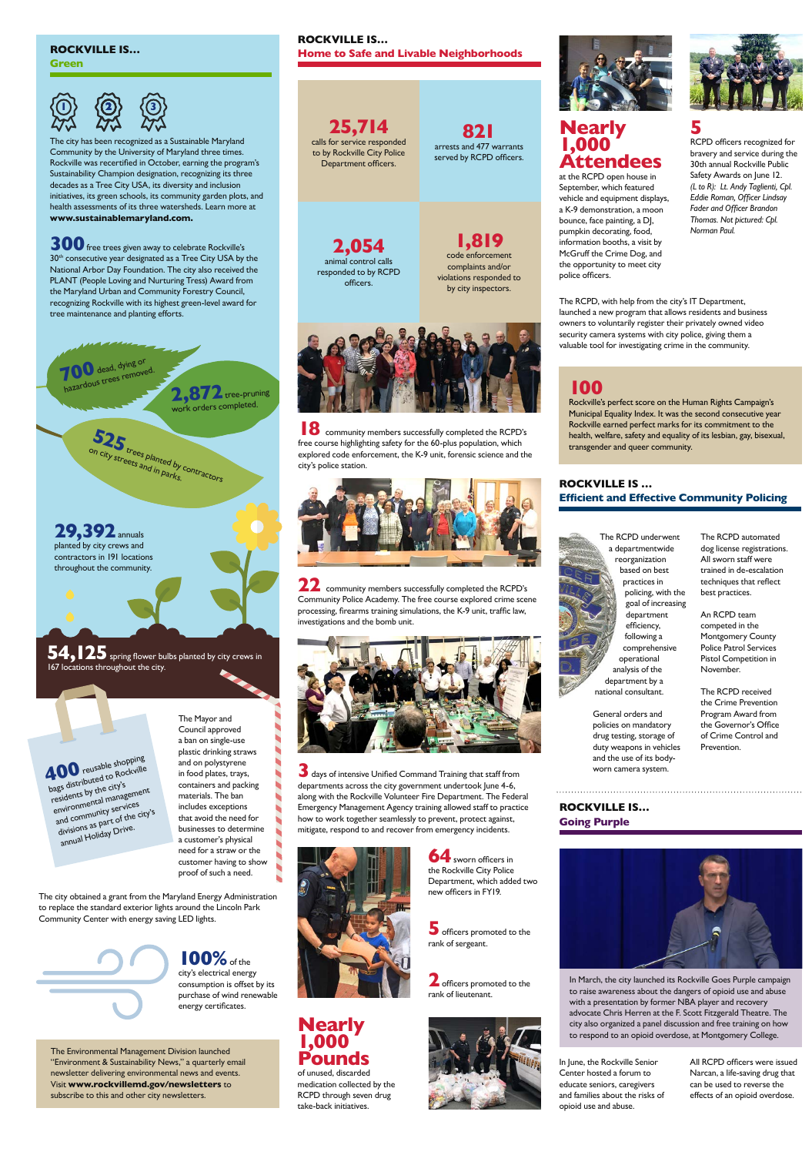The city has been recognized as a Sustainable Maryland Community by the University of Maryland three times. Rockville was recertified in October, earning the program's Sustainability Champion designation, recognizing its three decades as a Tree City USA, its diversity and inclusion initiatives, its green schools, its community garden plots, and health assessments of its three watersheds. Learn more at **www.sustainablemaryland.com.**

> **100%** of the city's electrical energy consumption is offset by its purchase of wind renewable energy certificates.

work orders completed.

**525**

on city streets and in parks. trees planted by contractors

**29,392** annuals planted by city crews and contractors in 191 locations throughout the community.

**54,125** spring flower bulbs planted by city crews in 167 locations throughout the city.

400 reusable shopping bags distributed to Rockville residents by the city's environmental management and community services divisions as part of the city's annual Holiday Drive.

to replace the standard exterior lights around the Lincoln Park Community Center with energy saving LED lights.

The Mayor and Council approved a ban on single-use plastic drinking straws and on polystyrene in food plates, trays, containers and packing materials. The ban includes exceptions that avoid the need for businesses to determine a customer's physical need for a straw or the customer having to show proof of such a need.

**18** community members successfully completed the RCPD's free course highlighting safety for the 60-plus population, which explored code enforcement, the K-9 unit, forensic science and the city's police station.



**22** community members successfully completed the RCPD's Community Police Academy. The free course explored crime scene processing, firearms training simulations, the K-9 unit, traffic law, investigations and the bomb unit.



#### **ROCKVILLE IS…**

**Green**

# **1)>**  $\langle$  **(2)**>  $\langle$  (3

**300** free trees given away to celebrate Rockville's 30<sup>th</sup> consecutive year designated as a Tree City USA by the National Arbor Day Foundation. The city also received the PLANT (People Loving and Nurturing Tress) Award from the Maryland Urban and Community Forestry Council, recognizing Rockville with its highest green-level award for tree maintenance and planting efforts.

**700** dead, dying or<br>hazardous trees removed. **2572** tree-pruning

The Environmental Management Division launched "Environment & Sustainability News," a quarterly email newsletter delivering environmental news and events. Visit **www.rockvillemd.gov/newsletters** to subscribe to this and other city newsletters.

#### **ROCKVILLE IS… Home to Safe and Livable Neighborhoods**

## **100**

**2** officers promoted to the rank of lieutenant.



Rockville's perfect score on the Human Rights Campaign's Municipal Equality Index. It was the second consecutive year Rockville earned perfect marks for its commitment to the health, welfare, safety and equality of its lesbian, gay, bisexual, transgender and queer community.

officers.





**3** days of intensive Unified Command Training that staff from departments across the city government undertook June 4-6, along with the Rockville Volunteer Fire Department. The Federal Emergency Management Agency training allowed staff to practice how to work together seamlessly to prevent, protect against, mitigate, respond to and recover from emergency incidents.



**64** sworn officers in the Rockville City Police Department, which added two new officers in FY19.



**Nearly 1,000 Pounds**

of unused, discarded medication collected by the RCPD through seven drug take-back initiatives.

### **Nearly 1,000 Attendees**

at the RCPD open house in September, which featured vehicle and equipment displays, a K-9 demonstration, a moon bounce, face painting, a DJ, pumpkin decorating, food, information booths, a visit by McGruff the Crime Dog, and the opportunity to meet city police officers.

# **5**

RCPD officers recognized for bravery and service during the 30th annual Rockville Public Safety Awards on June 12. *(L to R): Lt. Andy Taglienti, Cpl. Eddie Roman, Officer Lindsay Fader and Officer Brandon Thomas. Not pictured: Cpl. Norman Paul.*

The RCPD, with help from the city's IT Department, launched a new program that allows residents and business owners to voluntarily register their privately owned video security camera systems with city police, giving them a valuable tool for investigating crime in the community.

**821** arrests and 477 warrants served by RCPD officers.

**25,714** calls for service responded to by Rockville City Police Department officers.

#### **ROCKVILLE IS … Efficient and Effective Community Policing**

rank of sergeant.

**5** officers promoted to the



General orders and policies on mandatory drug testing, storage of duty weapons in vehicles and the use of its bodyworn camera system.

The RCPD automated dog license registrations. All sworn staff were trained in de-escalation techniques that reflect best practices.

An RCPD team competed in the Montgomery County Police Patrol Services Pistol Competition in November.

The RCPD received the Crime Prevention Program Award from the Governor's Office of Crime Control and Prevention.

**ROCKVILLE IS… Going Purple**



In March, the city launched its Rockville Goes Purple campaign to raise awareness about the dangers of opioid use and abuse with a presentation by former NBA player and recovery advocate Chris Herren at the F. Scott Fitzgerald Theatre. The city also organized a panel discussion and free training on how to respond to an opioid overdose, at Montgomery College.

In June, the Rockville Senior Center hosted a forum to educate seniors, caregivers and families about the risks of opioid use and abuse.

All RCPD officers were issued Narcan, a life-saving drug that can be used to reverse the effects of an opioid overdose.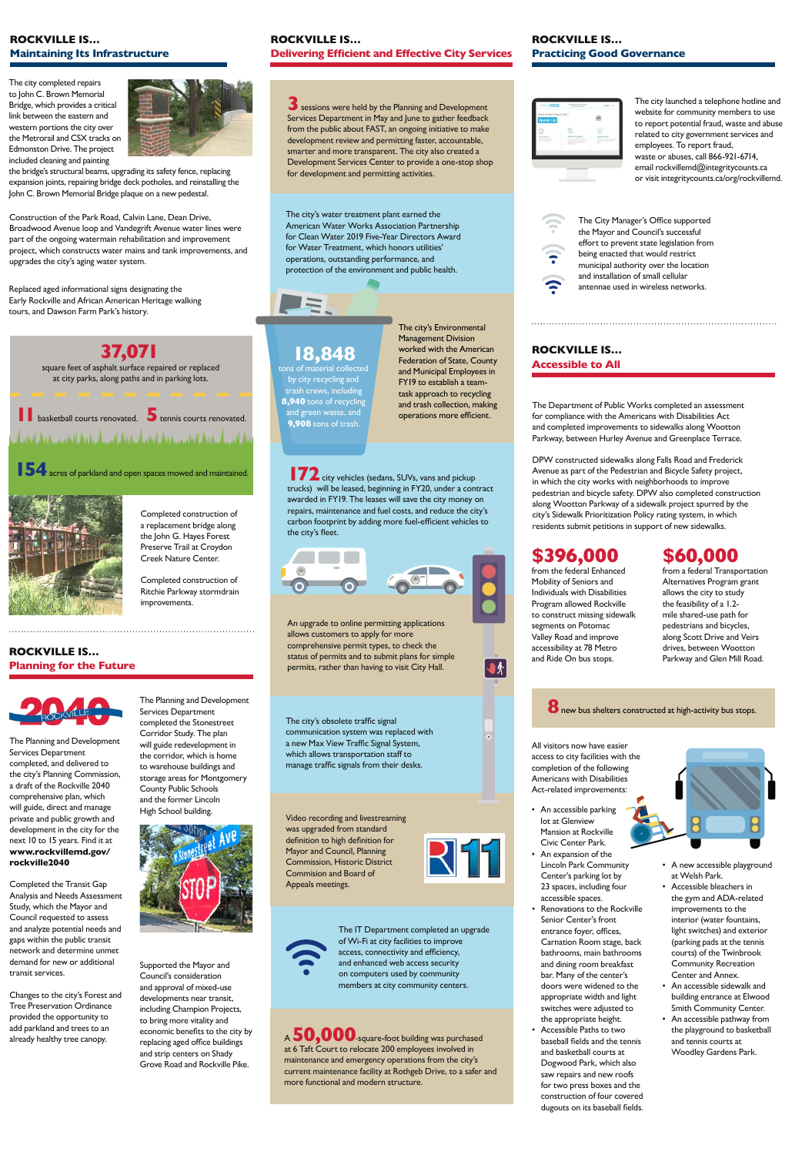**ROCKVILLE IS…**



**Planning for the Future**

The Planning and Development Services Department completed the Stonestreet Corridor Study. The plan will guide redevelopment in the corridor, which is home to warehouse buildings and storage areas for Montgomery County Public Schools and the former Lincoln



Supported the Mayor and Council's consideration and approval of mixed-use developments near transit, including Champion Projects, to bring more vitality and economic benefits to the city by replacing aged office buildings and strip centers on Shady Grove Road and Rockville Pike.



The Planning and Development Services Department completed, and delivered to the city's Planning Commission, a draft of the Rockville 2040 comprehensive plan, which will guide, direct and manage private and public growth and development in the city for the next 10 to 15 years. Find it at **www.rockvillemd.gov/ rockville2040**

Completed the Transit Gap Analysis and Needs Assessment

**172** city vehicles (sedans, SUVs, vans and pickup trucks) will be leased, beginning in FY20, under a contract awarded in FY19. The leases will save the city money on repairs, maintenance and fuel costs, and reduce the city's carbon footprint by adding more fuel-efficient vehicles to the city's fleet.



Study, which the Mayor and Council requested to assess and analyze potential needs and gaps within the public transit network and determine unmet demand for new or additional transit services.

Changes to the city's Forest and Tree Preservation Ordinance provided the opportunity to add parkland and trees to an already healthy tree canopy.



### **ROCKVILLE IS… Delivering Efficient and Effective City Services**

Completed construction of a replacement bridge along the John G. Hayes Forest Preserve Trail at Croydon Creek Nature Center.

Completed construction of Ritchie Parkway stormdrain improvements.

The city's obsolete traffic signal communication system was replaced with a new Max View Traffic Signal System, which allows transportation staff to

manage traffic signals from their desks.

#### **ROCKVILLE IS… Accessible to All**

An upgrade to online permitting applications allows customers to apply for more comprehensive permit types, to check the status of permits and to submit plans for simple permits, rather than having to visit City Hall.

Video recording and livestreaming was upgraded from standard definition to high definition for Mayor and Council, Planning Commission, Historic District Commision and Board of Appeals meetings.

√ ∱

<sup>A</sup>**50,000***-*square-foot building was purchased at 6 Taft Court to relocate 200 employees involved in maintenance and emergency operations from the city's current maintenance facility at Rothgeb Drive, to a safer and more functional and modern structure.

The IT Department completed an upgrade of Wi-Fi at city facilities to improve access, connectivity and efficiency, and enhanced web access security on computers used by community members at city community centers.

#### **ROCKVILLE IS… Practicing Good Governance**



The Department of Public Works completed an assessment for compliance with the Americans with Disabilities Act and completed improvements to sidewalks along Wootton Parkway, between Hurley Avenue and Greenplace Terrace.

The city launched a telephone hotline and website for community members to use to report potential fraud, waste and abuse related to city government services and employees. To report fraud, waste or abuses, call 866-921-6714, email rockvillemd@integritycounts.ca or visit integritycounts.ca/org/rockvillemd.



The City Manager's Office supported the Mayor and Council's successful effort to prevent state legislation from being enacted that would restrict municipal authority over the location and installation of small cellular antennae used in wireless networks.

## **\$396,000**

from the federal Enhanced Mobility of Seniors and Individuals with Disabilities Program allowed Rockville to construct missing sidewalk segments on Potomac Valley Road and improve accessibility at 78 Metro and Ride On bus stops.

## **\$60,000**

from a federal Transportation Alternatives Program grant allows the city to study the feasibility of a 1.2 mile shared-use path for pedestrians and bicycles, along Scott Drive and Veirs drives, between Wootton Parkway and Glen Mill Road.

#### **8** new bus shelters constructed at high-activity bus stops.

- An accessible parking lot at Glenview Mansion at Rockville Civic Center Park.
- An expansion of the Lincoln Park Community Center's parking lot by 23 spaces, including four accessible spaces. Renovations to the Rockville Senior Center's front entrance foyer, offices, Carnation Room stage, back bathrooms, main bathrooms and dining room breakfast bar. Many of the center's doors were widened to the appropriate width and light switches were adjusted to the appropriate height. • Accessible Paths to two baseball fields and the tennis and basketball courts at Dogwood Park, which also saw repairs and new roofs for two press boxes and the construction of four covered dugouts on its baseball fields.



All visitors now have easier access to city facilities with the completion of the following Americans with Disabilities Act-related improvements:

- A new accessible playground at Welsh Park.
- Accessible bleachers in the gym and ADA-related

improvements to the interior (water fountains, light switches) and exterior (parking pads at the tennis courts) of the Twinbrook Community Recreation Center and Annex.

- An accessible sidewalk and building entrance at Elwood Smith Community Center.
- An accessible pathway from the playground to basketball and tennis courts at Woodley Gardens Park.

DPW constructed sidewalks along Falls Road and Frederick Avenue as part of the Pedestrian and Bicycle Safety project, in which the city works with neighborhoods to improve pedestrian and bicycle safety. DPW also completed construction along Wootton Parkway of a sidewalk project spurred by the city's Sidewalk Prioritization Policy rating system, in which residents submit petitions in support of new sidewalks.

**3** sessions were held by the Planning and Development Services Department in May and June to gather feedback from the public about FAST, an ongoing initiative to make development review and permitting faster, accountable, smarter and more transparent. The city also created a Development Services Center to provide a one-stop shop for development and permitting activities.

The city's water treatment plant earned the American Water Works Association Partnership for Clean Water 2019 Five-Year Directors Award for Water Treatment, which honors utilities' operations, outstanding performance, and protection of the environment and public health.



The city's Environmental Management Division worked with the American Federation of State, County and Municipal Employees in FY19 to establish a teamtask approach to recycling and trash collection, making operations more efficient.

## **18,848**

tons of material collected by city recycling and trash crews, including **8,940** tons of recycling and green waste, and **9,908** tons of trash.

#### **ROCKVILLE IS… Maintaining Its Infrastructure**

## **37,071**

square feet of asphalt surface repaired or replaced at city parks, along paths and in parking lots.

## **1basketball courts renovated. 5** tennis courts renovated. المنازلين ومنازلين فينتش أتعقل وموجبه فتنشأ بالتعقيم وأنسته فتعاطى انسحب أنسته فتنشأه بالعقيمي وفيتناه والمنقوبا

## **154** acres of parkland and open spaces mowed and maintained.



Replaced aged informational signs designating the Early Rockville and African American Heritage walking tours, and Dawson Farm Park's history.

Construction of the Park Road, Calvin Lane, Dean Drive, Broadwood Avenue loop and Vandegrift Avenue water lines were part of the ongoing watermain rehabilitation and improvement project, which constructs water mains and tank improvements, and upgrades the city's aging water system.

The city completed repairs to John C. Brown Memorial Bridge, which provides a critical link between the eastern and western portions the city over the Metrorail and CSX tracks on Edmonston Drive. The project included cleaning and painting



the bridge's structural beams, upgrading its safety fence, replacing expansion joints, repairing bridge deck potholes, and reinstalling the John C. Brown Memorial Bridge plaque on a new pedestal.